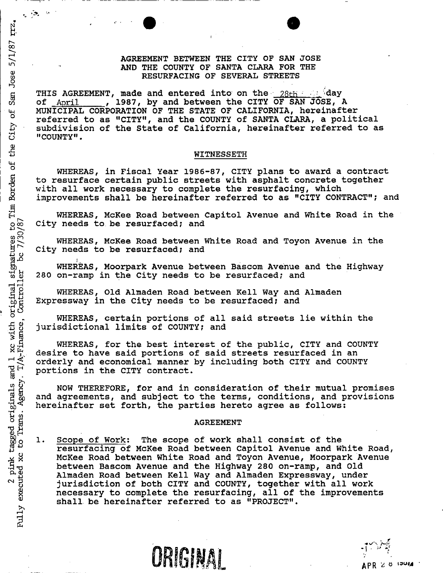## **AGREEMENT BETWEEN THE CITY OF SAN JOSE A ND THE COUNTY OF SANTA CLARA FOR THE RESURFACING OF SEVERAL STREETS**

THIS AGREEMENT, made and entered into on the **28th of April , 1987, by and between the CITY OF SAN JOSE, 1 of** April **1987, by and between the CITY OF SAN JOSE, A MUNICIPAL CORPORATION OF THE STATE OF CALIFORNIA, hereinafter referred to as "CITY", and the COUNTY of SANTA CLARA, a political subdivision of the State of California, hereinafter referred to as "COUNTY".** 

#### **WITNESSETH**

**WHEREAS, in Fiscal Year 1986-87, CITY plans to award a contract to resurface certain public streets with asphalt concrete together with all work necessary to complete the resurfacing, which improvements shall be hereinafter referred to as "CITY CONTRACT"; and** 

**WHEREAS, McKee Road between Capitol Avenue and White Road in the City needs to be resurfaced; and** 

**WHEREAS, McKee Road between White Road and Toyon Avenue in the City needs to be resurfaced; and** 

**WHEREAS, Moorpark Avenue between Bascom Avenue and the Highway 280 on-ramp in the City needs to be resurfaced; and** 

**WHEREAS, Old Almaden Road between Kell Way and Almaden Expressway in the City needs to be resurfaced; and** 

**WHEREAS, certain portions of all said streets lie within the jurisdictional limits of COUNTY; and** 

**WHEREAS, for the best interest of the public, CITY and COUNTY desire to have said portions of said streets resurfaced in an orderly and economical manner by including both CITY and COUNTY portions in the CITY contract.** 

**NOW THEREFORE, for and in consideration of their mutual promises and agreements, and subject to the terms, conditions, and provisions hereinafter set forth, the parties hereto agree as follows:** 

#### **AGREEMENT**

**1, Scope of Work: The scope of work shall consist of the resurfacing of McKee Road between Capitol Avenue and White Road, McKee Road between White Road and Toyon Avenue, Moorpark Avenue between Bascom Avenue and the Highway 280 on-ramp, and Old Almaden Road between Kell Way and Almaden Expressway, under jurisdiction of both CITY and COUNTY, together with all work necessary to complete the resurfacing, all of the improvements shall be hereinafter referred to as "PROJECT"•** 

ORIGINAL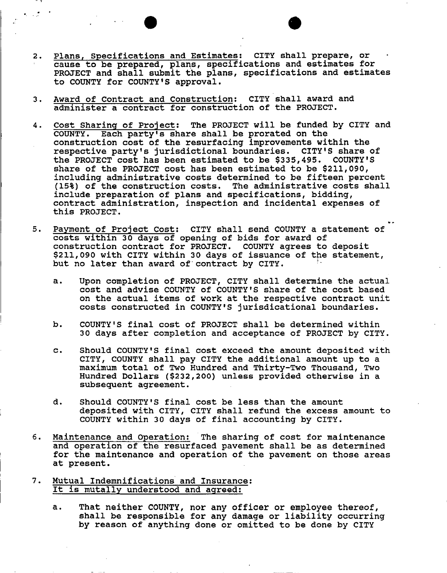- **Plans, Specifications and Estimates: CITY shall prepare, or**   $2.$ **cause to be prepared, plans, specifications and estimates for PROJECT and shall submit the plans, specifications and estimates to COUNTY for COUNTY'S approval.**
- **Award of Contract and Construction: CITY shall award and**   $3.$ **administer a contract for construction of the PROJECT.**
- **Cost Sharing of Project: The PROJECT will be funded by CITY and**  4. **COUNTY. Each party's share shall be prorated on the construction cost of the resurfacing improvements within the respective party's jurisdictional boundaries. CITY'S share of the PROJECT cost has been estimated to be \$335,495. COUNTY'S share of the PROJECT cost has been estimated to be \$211,090, including administrative costs determined to be fifteen percent (15%) of the construction costs. The administrative costs shall include preparation of plans and specifications, bidding, contract administration, inspection and incidental expenses of this PROJECT.**
- 5. **Payment of Project Cost: CITY shall send COUNTY a statement of costs within 30 days of opening of bids for award of construction contract for PROJECT. COUNTY agrees to deposit \$211,090 with CITY within 30 days of issuance of the statement,**  but no later than award of contract by CITY.
	- **a. Upon completion of PROJECT, CITY shall determine the actual cost and advise COUNTY of COUNTY'S share of the cost based on the actual items of work at the respective contract unit costs constructed in COUNTY'S jurisdicational boundaries.**

»

- **b . COUNTY'S final cost of PROJECT shall be determined within 30 days after completion and acceptance of PROJECT by CITY.**
- **c. Should COUNTY'S final cost exceed the amount deposited with CITY, COUNTY shall pay CITY the additional amount up to a maximum total of Two Hundred and Thirty-Two Thousand, Two Hundred Dollars (\$232,200) unless provided otherwise in a subsequent agreement.**
- **d. Should COUNTY'S final cost be less than the amount deposited with CITY, CITY shall refund the excess amount to COUNTY within 30 days of final accounting by CITY.**
- 6. **Maintenance and Operation: The sharing of cost for maintenance and operation of the resurfaced pavement shall be as determined for the maintenance and operation of the pavement on those areas at present.**
- **Mutual Indemnifications and Insurance:**  7. **It is mutally understood and agreed:** 
	- **a. That neither COUNTY, nor any officer or employee thereof, shall be responsible for any damage or liability occurring by reason of anything done or omitted to be done by CITY**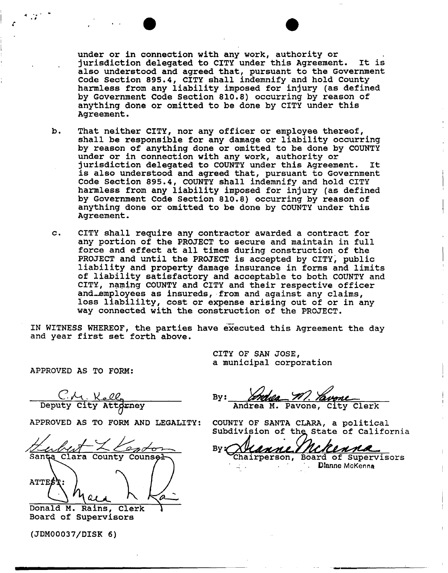**under or in connection with any work, authority or jurisdiction delegated to CITY under this Agreement. It is also understood and agreed that, pursuant to the Government Code Section 895.4, CITY shall indemnify and hold County harmless from any liability imposed for injury (as defined by Government Code Section 810.8) occurring by reason of anything done or omitted to be done by CITY under this Agreement.** 

- **b . That neither CITY, nor any officer or employee thereof, shall be responsible for any damage or liability occurring by reason of anything done or omitted to be done by COUNTY under or in connection with any work, authority or jurisdiction delegated to COUNTY under this Agreement. It is also understood and agreed that, pursuant to Government Code Section 895.4, COUNTY shall indemnify and hold CITY harmless from any liability imposed for injury (as defined by Government Code Section 810.8) occurring by reason of anything done or omitted to be done by COUNTY under this Agreement.**
- **c. CITY shall require any contractor awarded a contract for any portion of the PROJECT to secure and maintain in full force and effect at all times during construction of the PROJECT and until the PROJECT is accepted by CITY, public liability and property damage insurance in forms and limits of liability satisfactory and acceptable to both COUNTY and CITY, naming COUNTY and CITY and their respective officer and^empioyees as insureds, from and against any claims, loss liabililty, cost or expense arising out of or in any way connected with the construction of the PROJECT.**

**IN WITNESS WHEREOF, the parties have executed this Agreement the day and year first set forth above.** 

> **CITY OF SAN JOSE, a municipal corporation**

**APPROVED AS TO FORM:** 

C/1. Kell **By: By:** 

**APPROVED AS TO FORM AND LEGALITY: COUNTY OF SANTA CLARA, a political** 

 $k$   $\sim$   $\ell$   $\sim$   $\ell$   $\sim$   $\sim$   $\ell$   $\sim$   $\ell$ *CUUk^*  **Sulmet Contoint By: Wanne McReane**  $\mathbf{A} \cdot \mathbf{A}$  / / / **ATTE** 

**Donald M. Rains, Clerk Board of Supervisors** 

**(JDM00037/DISK 6)** 

**Deputy City Attdrney City Andrea M. Pavone, City Clerk** 

Subdivision of the State of California

**. Dianne McKenna**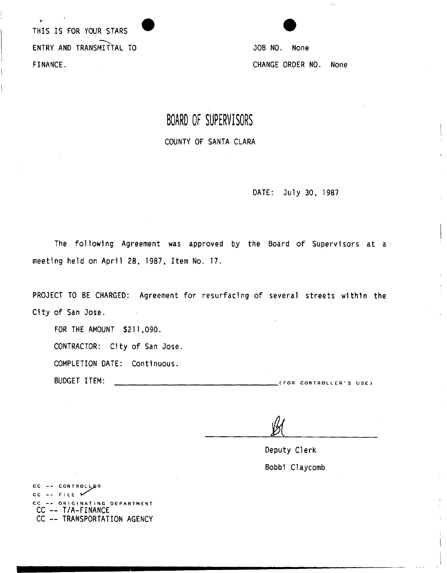**THIS IS FOR YOUR STARS ENTRY AND TRANSMITTAL TO JOB NO. None FINANCE. CHANGE ORDER NO. None** 

 $\sim$ 



## **BOARD OF SUPERVISORS**

**COUNTY OF SANTA CLARA** 

**DATE: July 30, 1987** 

**The following Agreement was approved by the Board of Supervisors at a meeting held on April 28, 1987, Item No. 17.** 

**PROJECT TO BE CHARGED: Agreement for resurfacing of several streets within the City of San Jose.** 

**FOR THE AMOUNT \$211,090.** 

**CONTRACTOR: City of San Jose.** 

**COMPLETION DATE: Continuous.** 

**BUDGET ITEM:** (FO R CONTROLLER' S USE )

**Deputy Clerk Bobbl Claycomb** 

CC -- CONTROLLER CC -- FILE CC -- ORIGINATING DEPARTMENT **CC — T/A-FINANCE CC — TRANSPORTATION AGENCY** 

 $\sim$   $\mu$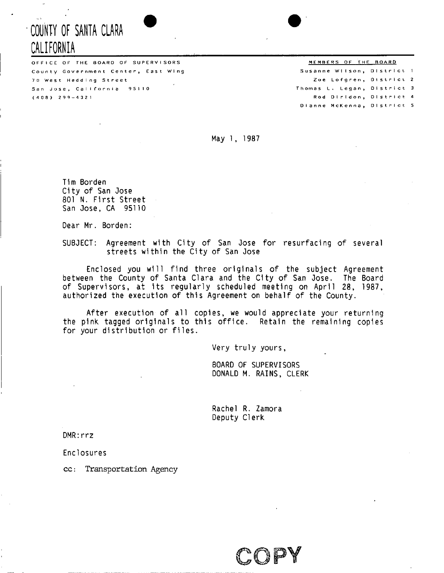# **• COUNTY OF SANTA CLARA CALIFORNIA**

OFFICE OF THE BOARD OF SUPERVISORS THE SOLUTION OF THE BOARD County Government Center, East Wing 70 West Hedding Street San Jose, California 95110 (408 ) 2 9 9 —43 2 1

## Susanne Wilson, District 1 Zoe Lofgren, District 2 Thomas L. Legan, District 3 Rod Dirldon, District 4 Dianne McKenna, District 5

**May 1, 1987** 

**Tim Borden City of San Jose 801 N. First Street San Jose, CA 95110** 

**Dear Mr. Borden:** 

**SUBJECT: Agreement with City of San Jose for resurfacing of several streets within the City of San Jose** 

**Enclosed you will find three originals of the subject Agreement between the County of Santa Clara and the City of San Jose. The Board of Supervisors, at its regularly scheduled meeting on April 28, 1987, authorized the execution of this Agreement on behalf of the County.** 

**After execution of all copies, we would appreciate your returning the pink tagged originals to this office. Retain the remaining copies for your distribution or files.** 

**Very truly yours** 

**BOARD OF SUPERVISORS DONALD M. RAINS, CLERK** 

**Rachel R. Zamora Deputy Clerk** 

**DMR:rrz** 

**Enclosures** 

**cc: Transportation Agency** 

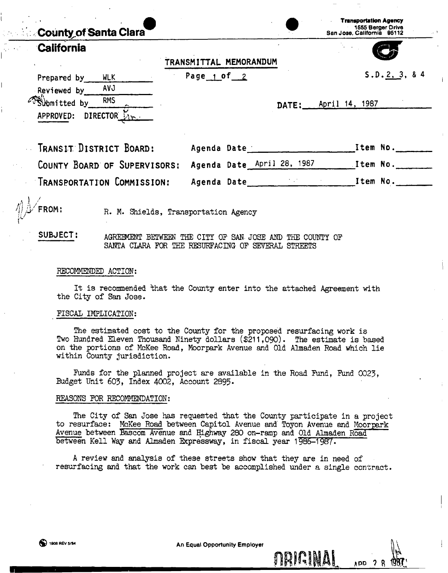| <b>County of Santa Clara</b>                                   |                        |                            | <b>Transportation Agency</b><br>1555 Berger Drive<br>San Jose, California 95112 |
|----------------------------------------------------------------|------------------------|----------------------------|---------------------------------------------------------------------------------|
| California                                                     | TRANSMITTAL MEMORANDUM |                            |                                                                                 |
| Prepared by<br><b>WLK</b><br><b>AVJ</b><br>Reviewed by         | Page $1$ of $2$        |                            | S.D. 2, 3, 84                                                                   |
| Filmitted by<br><b>RMS</b><br>DIRECTOR <b>Lim</b><br>APPROVED: |                        | DATE:                      | April 14, 1987                                                                  |
| TRANSIT DISTRICT BOARD:                                        | Agenda Date            |                            | Item No.                                                                        |
| COUNTY BOARD OF SUPERVISORS:                                   |                        | Agenda Date April 28, 1987 | Item No.                                                                        |

**4/ IVFROM: R. M. Shields, Transportation Agency** 

**SUBJECT: AGREEMENT BETWEEN THE CITY OP SAN. JOSE AND THE COUNTY OP SANTA CLARA FOR THE RESURFACING OP SEVERAL STREETS** 

TRANSPORTATION COMMISSION: Agenda Date **International Material Agents** Item No.

#### **RECOMMENDED ACTION:**

**It is recommended that the County enter into the attached Agreement with the City of San Jose.** 

#### **FISCAL IMPLICATION:**

**The estimated cost to the County for the proposed resurfacing work is Two Hundred Eleven Thousand Ninety dollars (\$211,090). The estimate is based on the portions of McKee Road, Moorpark Avenue and Old Almaden Road which lie within County jurisdiction.** 

**Funds for the planned project are available in the Road Fund, Fund 0023, Budget Unit 603, Index 4002, Account 2895-**

#### **REASONS FOR RECOMMENDATION:**

**The City of San Jose has requested that the County participate in a project to resurface: McKee Road between Capitol Avenue and Toyon Avenue and Moorpark Avenue between Bascom Avenue and Highway 280 on-ramp and Old Almaden Road between Kell Way and Almaden Expressway, in fiscal year 1986-1987.** 

**A review and analysis of these streets show that they are in need of resurfacing and that the work can best be accomplished under a single contract.** 

 $n$ **RIGINAI**  $\mu$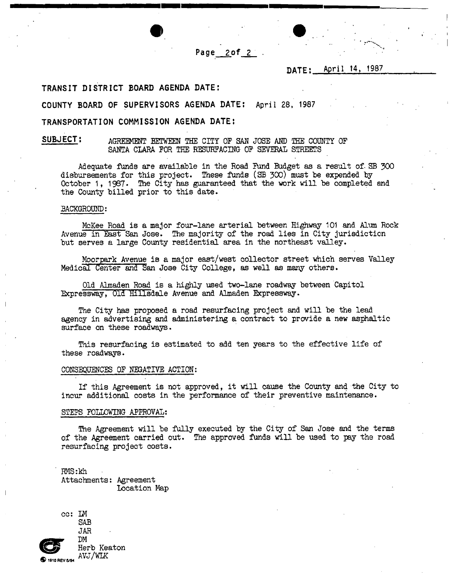Page  $20f$   $2$ 

**DATE; April 14, 1987** 

#### **TRANSIT DISTRICT BOARD AGENDA DATE:**

**COUNTY BOARD OF SUPERVISORS AGENDA DATE: April 28, 1987** 

### **TRANSPORTATION COMMISSION AGENDA DATE:**

#### **SUBJECT: AGREMENT BETWEEN THE CITY OP SAN JOSE AND THE COUNTY OP SANTA CLARA FOR THE RESURFACING OF SEVERAL STREETS**

**Adequate funds are available in the Road Fund Budget as a result of. SB 300 disbursements for this project. These funds (SB 300) must be expended by October 1, 1967 • The City has guaranteed that the work will be completed and the County billed prior to this date.** 

#### **BACKGROUND:**

**McKee Road is a major four-lane arterial between Highway 101 and Alum Rock Avenue in East San Jose. The majority of the road lies in City jurisdiction but serves a large County residential area in the northeast valley.** 

**Moorpark Avenue is a major east/west collector street which serves Valley Medical Center and San Jose City College, as well as many others.** 

Old Almaden Road is a highly used two-lane roadway between Capitol **Expressway, Old Hillsdale Avenue and Almaden Expressway.** 

**The City has proposed a road resurfacing project and will be the lead agency in advertising and administering a contract to provide a new asphaltic surface on these roadways.** 

**This resurfacing is estimated to add ten years to the effective life of these roadways.** 

#### **CONSEQUENCES OF NEGATIVE ACTION;**

**If this Agreement is not approved, it will cause the County and the City to incur additional costs in the performance of their preventive maintenance.** 

#### **STEPS FOLLOWING APPROVAL:**

**The Agreement will be fully executed by the City of San Jose and the terms of the Agreement carried out. The approved funds will be used to pay the road resurfacing project costs.** 

**RMS:kh Attachments: Agreement Location Map**